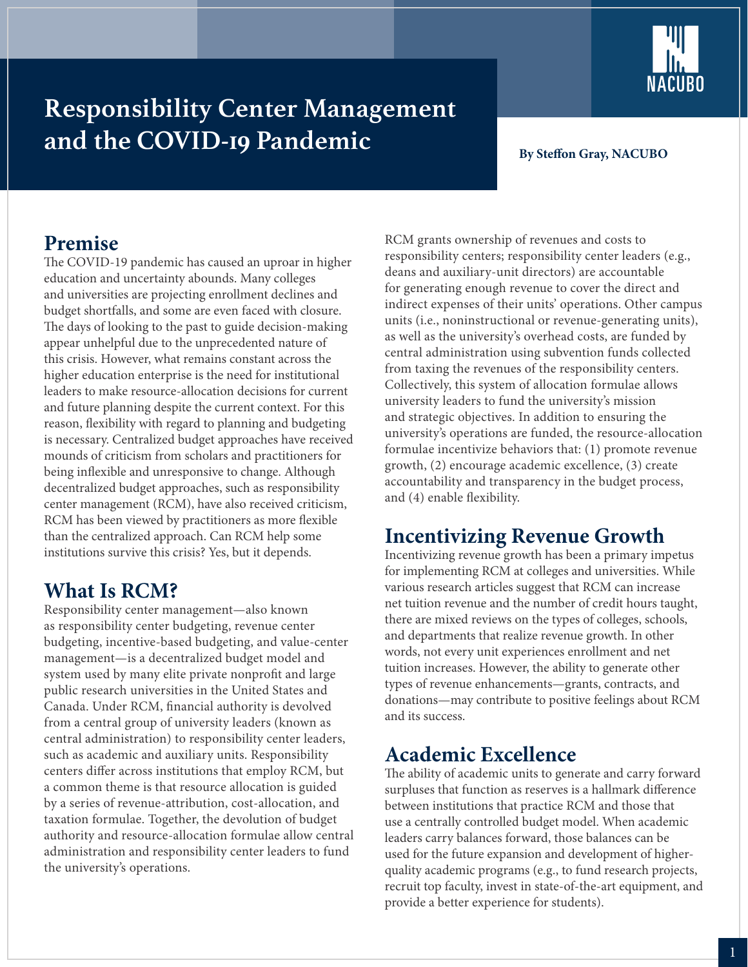

# **Responsibility Center Management and the COVID-19 Pandemic**

#### **By Steffon Gray, NACUBO**

### **Premise**

The COVID-19 pandemic has caused an uproar in higher education and uncertainty abounds. Many colleges and universities are projecting enrollment declines and budget shortfalls, and some are even faced with closure. The days of looking to the past to guide decision-making appear unhelpful due to the unprecedented nature of this crisis. However, what remains constant across the higher education enterprise is the need for institutional leaders to make resource-allocation decisions for current and future planning despite the current context. For this reason, flexibility with regard to planning and budgeting is necessary. Centralized budget approaches have received mounds of criticism from scholars and practitioners for being inflexible and unresponsive to change. Although decentralized budget approaches, such as responsibility center management (RCM), have also received criticism, RCM has been viewed by practitioners as more flexible than the centralized approach. Can RCM help some institutions survive this crisis? Yes, but it depends.

#### **What Is RCM?**

Responsibility center management—also known as responsibility center budgeting, revenue center budgeting, incentive-based budgeting, and value-center management—is a decentralized budget model and system used by many elite private nonprofit and large public research universities in the United States and Canada. Under RCM, financial authority is devolved from a central group of university leaders (known as central administration) to responsibility center leaders, such as academic and auxiliary units. Responsibility centers differ across institutions that employ RCM, but a common theme is that resource allocation is guided by a series of revenue-attribution, cost-allocation, and taxation formulae. Together, the devolution of budget authority and resource-allocation formulae allow central administration and responsibility center leaders to fund the university's operations.

RCM grants ownership of revenues and costs to responsibility centers; responsibility center leaders (e.g., deans and auxiliary-unit directors) are accountable for generating enough revenue to cover the direct and indirect expenses of their units' operations. Other campus units (i.e., noninstructional or revenue-generating units), as well as the university's overhead costs, are funded by central administration using subvention funds collected from taxing the revenues of the responsibility centers. Collectively, this system of allocation formulae allows university leaders to fund the university's mission and strategic objectives. In addition to ensuring the university's operations are funded, the resource-allocation formulae incentivize behaviors that: (1) promote revenue growth, (2) encourage academic excellence, (3) create accountability and transparency in the budget process, and (4) enable flexibility.

## **Incentivizing Revenue Growth**

Incentivizing revenue growth has been a primary impetus for implementing RCM at colleges and universities. While various research articles suggest that RCM can increase net tuition revenue and the number of credit hours taught, there are mixed reviews on the types of colleges, schools, and departments that realize revenue growth. In other words, not every unit experiences enrollment and net tuition increases. However, the ability to generate other types of revenue enhancements—grants, contracts, and donations—may contribute to positive feelings about RCM and its success.

#### **Academic Excellence**

The ability of academic units to generate and carry forward surpluses that function as reserves is a hallmark difference between institutions that practice RCM and those that use a centrally controlled budget model. When academic leaders carry balances forward, those balances can be used for the future expansion and development of higherquality academic programs (e.g., to fund research projects, recruit top faculty, invest in state-of-the-art equipment, and provide a better experience for students).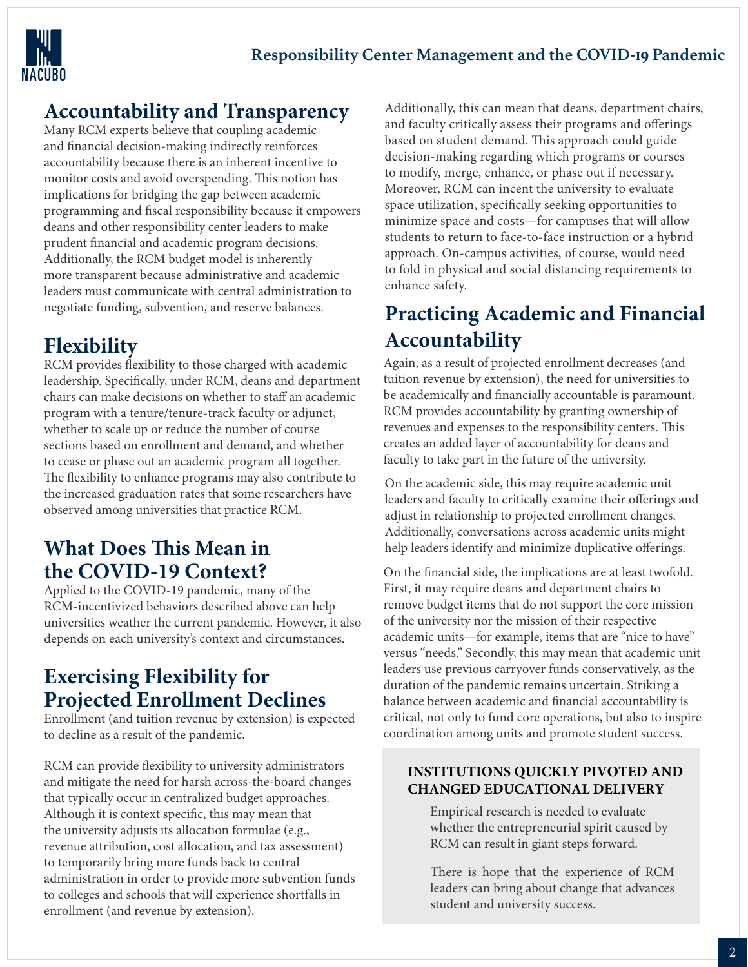

## **Accountability and Transparency**

Many RCM experts believe that coupling academic and financial decision-making indirectly reinforces accountability because there is an inherent incentive to monitor costs and avoid overspending. This notion has implications for bridging the gap between academic programming and fiscal responsibility because it empowers deans and other responsibility center leaders to make prudent financial and academic program decisions. Additionally, the RCM budget model is inherently more transparent because administrative and academic leaders must communicate with central administration to negotiate funding, subvention, and reserve balances.

### **Flexibility**

RCM provides flexibility to those charged with academic leadership. Specifically, under RCM, deans and department chairs can make decisions on whether to staff an academic program with a tenure/tenure-track faculty or adjunct, whether to scale up or reduce the number of course sections based on enrollment and demand, and whether to cease or phase out an academic program all together. The flexibility to enhance programs may also contribute to the increased graduation rates that some researchers have observed among universities that practice RCM.

## **What Does This Mean in the COVID-19 Context?**

Applied to the COVID-19 pandemic, many of the RCM-incentivized behaviors described above can help universities weather the current pandemic. However, it also depends on each university's context and circumstances.

## **Exercising Flexibility for Projected Enrollment Declines**

Enrollment (and tuition revenue by extension) is expected to decline as a result of the pandemic.

RCM can provide flexibility to university administrators and mitigate the need for harsh across-the-board changes that typically occur in centralized budget approaches. Although it is context specific, this may mean that the university adjusts its allocation formulae (e.g., revenue attribution, cost allocation, and tax assessment) to temporarily bring more funds back to central administration in order to provide more subvention funds to colleges and schools that will experience shortfalls in enrollment (and revenue by extension).

Additionally, this can mean that deans, department chairs, and faculty critically assess their programs and offerings based on student demand. This approach could guide decision-making regarding which programs or courses to modify, merge, enhance, or phase out if necessary. Moreover, RCM can incent the university to evaluate space utilization, specifically seeking opportunities to minimize space and costs—for campuses that will allow students to return to face-to-face instruction or a hybrid approach. On-campus activities, of course, would need to fold in physical and social distancing requirements to enhance safety.

# **Practicing Academic and Financial Accountability**

Again, as a result of projected enrollment decreases (and tuition revenue by extension), the need for universities to be academically and financially accountable is paramount. RCM provides accountability by granting ownership of revenues and expenses to the responsibility centers. This creates an added layer of accountability for deans and faculty to take part in the future of the university.

On the academic side, this may require academic unit leaders and faculty to critically examine their offerings and adjust in relationship to projected enrollment changes. Additionally, conversations across academic units might help leaders identify and minimize duplicative offerings.

On the financial side, the implications are at least twofold. First, it may require deans and department chairs to remove budget items that do not support the core mission of the university nor the mission of their respective academic units—for example, items that are "nice to have" versus "needs." Secondly, this may mean that academic unit leaders use previous carryover funds conservatively, as the duration of the pandemic remains uncertain. Striking a balance between academic and financial accountability is critical, not only to fund core operations, but also to inspire coordination among units and promote student success.

#### **INSTITUTIONS QUICKLY PIVOTED AND CHANGED EDUCATIONAL DELIVERY**

Empirical research is needed to evaluate whether the entrepreneurial spirit caused by RCM can result in giant steps forward.

There is hope that the experience of RCM leaders can bring about change that advances student and university success.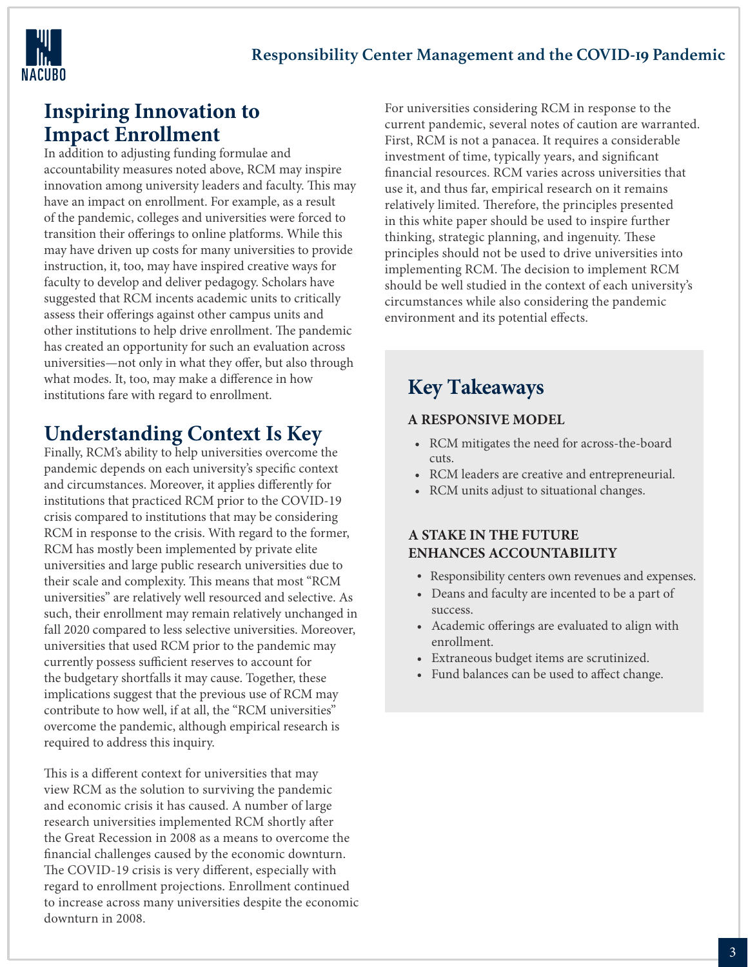

#### **Inspiring Innovation to Impact Enrollment**

In addition to adjusting funding formulae and accountability measures noted above, RCM may inspire innovation among university leaders and faculty. This may have an impact on enrollment. For example, as a result of the pandemic, colleges and universities were forced to transition their offerings to online platforms. While this may have driven up costs for many universities to provide instruction, it, too, may have inspired creative ways for faculty to develop and deliver pedagogy. Scholars have suggested that RCM incents academic units to critically assess their offerings against other campus units and other institutions to help drive enrollment. The pandemic has created an opportunity for such an evaluation across universities—not only in what they offer, but also through what modes. It, too, may make a difference in how institutions fare with regard to enrollment.

# **Understanding Context Is Key**

Finally, RCM's ability to help universities overcome the pandemic depends on each university's specific context and circumstances. Moreover, it applies differently for institutions that practiced RCM prior to the COVID-19 crisis compared to institutions that may be considering RCM in response to the crisis. With regard to the former, RCM has mostly been implemented by private elite universities and large public research universities due to their scale and complexity. This means that most "RCM universities" are relatively well resourced and selective. As such, their enrollment may remain relatively unchanged in fall 2020 compared to less selective universities. Moreover, universities that used RCM prior to the pandemic may currently possess sufficient reserves to account for the budgetary shortfalls it may cause. Together, these implications suggest that the previous use of RCM may contribute to how well, if at all, the "RCM universities" overcome the pandemic, although empirical research is required to address this inquiry.

This is a different context for universities that may view RCM as the solution to surviving the pandemic and economic crisis it has caused. A number of large research universities implemented RCM shortly after the Great Recession in 2008 as a means to overcome the financial challenges caused by the economic downturn. The COVID-19 crisis is very different, especially with regard to enrollment projections. Enrollment continued to increase across many universities despite the economic downturn in 2008.

For universities considering RCM in response to the current pandemic, several notes of caution are warranted. First, RCM is not a panacea. It requires a considerable investment of time, typically years, and significant financial resources. RCM varies across universities that use it, and thus far, empirical research on it remains relatively limited. Therefore, the principles presented in this white paper should be used to inspire further thinking, strategic planning, and ingenuity. These principles should not be used to drive universities into implementing RCM. The decision to implement RCM should be well studied in the context of each university's circumstances while also considering the pandemic environment and its potential effects.

# **Key Takeaways**

#### **A RESPONSIVE MODEL**

- RCM mitigates the need for across-the-board cuts.
- RCM leaders are creative and entrepreneurial.
- RCM units adjust to situational changes.

#### **A STAKE IN THE FUTURE ENHANCES ACCOUNTABILITY**

- Responsibility centers own revenues and expenses.
- Deans and faculty are incented to be a part of success.
- Academic offerings are evaluated to align with enrollment.
- Extraneous budget items are scrutinized.
- Fund balances can be used to affect change.